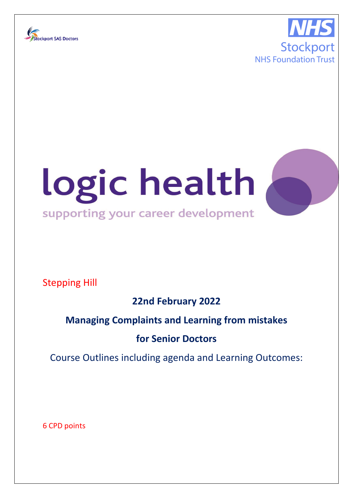





Stepping Hill

**22nd February 2022**

# **Managing Complaints and Learning from mistakes**

# **for Senior Doctors**

Course Outlines including agenda and Learning Outcomes:

6 CPD points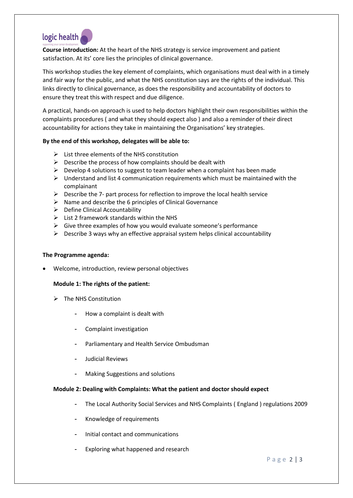

**Course introduction:** At the heart of the NHS strategy is service improvement and patient satisfaction. At its' core lies the principles of clinical governance.

This workshop studies the key element of complaints, which organisations must deal with in a timely and fair way for the public, and what the NHS constitution says are the rights of the individual. This links directly to clinical governance, as does the responsibility and accountability of doctors to ensure they treat this with respect and due diligence.

A practical, hands-on approach is used to help doctors highlight their own responsibilities within the complaints procedures ( and what they should expect also ) and also a reminder of their direct accountability for actions they take in maintaining the Organisations' key strategies.

### **By the end of this workshop, delegates will be able to:**

- $\triangleright$  List three elements of the NHS constitution
- $\triangleright$  Describe the process of how complaints should be dealt with
- $\triangleright$  Develop 4 solutions to suggest to team leader when a complaint has been made
- $\triangleright$  Understand and list 4 communication requirements which must be maintained with the complainant
- $\triangleright$  Describe the 7- part process for reflection to improve the local health service
- $\triangleright$  Name and describe the 6 principles of Clinical Governance
- $\triangleright$  Define Clinical Accountability
- $\triangleright$  List 2 framework standards within the NHS
- $\triangleright$  Give three examples of how you would evaluate someone's performance
- $\triangleright$  Describe 3 ways why an effective appraisal system helps clinical accountability

### **The Programme agenda:**

• Welcome, introduction, review personal objectives

### **Module 1: The rights of the patient:**

- $\triangleright$  The NHS Constitution
	- How a complaint is dealt with
	- Complaint investigation
	- Parliamentary and Health Service Ombudsman
	- Judicial Reviews
	- Making Suggestions and solutions

### **Module 2: Dealing with Complaints: What the patient and doctor should expect**

- The Local Authority Social Services and NHS Complaints ( England ) regulations 2009
- Knowledge of requirements
- Initial contact and communications
- Exploring what happened and research